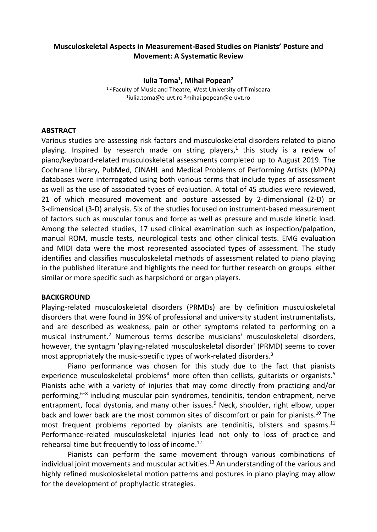#### **Musculoskeletal Aspects in Measurement-Based Studies on Pianists' Posture and Movement: A Systematic Review**

**Iulia Toma<sup>1</sup> , Mihai Popean<sup>2</sup>**

<sup>1,2</sup> Faculty of Music and Theatre, West University of Timisoara 1 iulia.toma@e-uvt.ro <sup>2</sup>mihai.popean@e-uvt.ro

#### **ABSTRACT**

Various studies are assessing risk factors and musculoskeletal disorders related to piano playing. Inspired by research made on string players, 1 this study is a review of piano/keyboard-related musculoskeletal assessments completed up to August 2019. The Cochrane Library, PubMed, CINAHL and Medical Problems of Performing Artists (MPPA) databases were interrogated using both various terms that include types of assessment as well as the use of associated types of evaluation. A total of 45 studies were reviewed, 21 of which measured movement and posture assessed by 2-dimensional (2-D) or 3-dimensioal (3-D) analysis. Six of the studies focused on instrument-based measurement of factors such as muscular tonus and force as well as pressure and muscle kinetic load. Among the selected studies, 17 used clinical examination such as inspection/palpation, manual ROM, muscle tests, neurological tests and other clinical tests. EMG evaluation and MIDI data were the most represented associated types of assessment. The study identifies and classifies musculoskeletal methods of assessment related to piano playing in the published literature and highlights the need for further research on groups either similar or more specific such as harpsichord or organ players.

## **BACKGROUND**

Playing-related musculoskeletal disorders (PRMDs) are by definition musculoskeletal disorders that were found in 39% of professional and university student instrumentalists, and are described as weakness, pain or other symptoms related to performing on a musical instrument. <sup>2</sup> Numerous terms describe musicians' musculoskeletal disorders, however, the syntagm 'playing-related musculoskeletal disorder' (PRMD) seems to cover most appropriately the music-specific types of work-related disorders. 3

Piano performance was chosen for this study due to the fact that pianists experience musculoskeletal problems<sup>4</sup> more often than cellists, guitarists or organists.<sup>5</sup> Pianists ache with a variety of injuries that may come directly from practicing and/or performing,<sup>6-8</sup> including muscular pain syndromes, tendinitis, tendon entrapment, nerve entrapment, focal dystonia, and many other issues. <sup>9</sup> Neck, shoulder, right elbow, upper back and lower back are the most common sites of discomfort or pain for pianists. <sup>10</sup> The most frequent problems reported by pianists are tendinitis, blisters and spasms.<sup>11</sup> Performance-related musculoskeletal injuries lead not only to loss of practice and rehearsal time but frequently to loss of income. 12

Pianists can perform the same movement through various combinations of individual joint movements and muscular activities.<sup>13</sup> An understanding of the various and highly refined muskoloskeletal motion patterns and postures in piano playing may allow for the development of prophylactic strategies.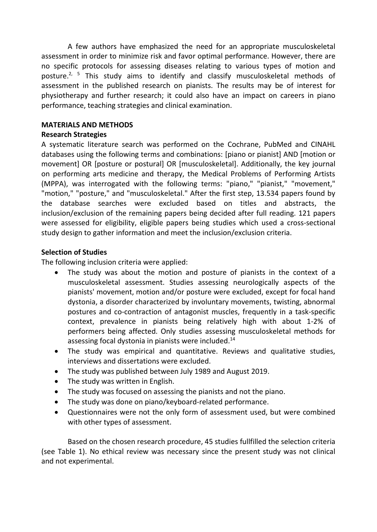A few authors have emphasized the need for an appropriate musculoskeletal assessment in order to minimize risk and favor optimal performance. However, there are no specific protocols for assessing diseases relating to various types of motion and posture.<sup>2, 5</sup> This study aims to identify and classify musculoskeletal methods of assessment in the published research on pianists. The results may be of interest for physiotherapy and further research; it could also have an impact on careers in piano performance, teaching strategies and clinical examination.

### **MATERIALS AND METHODS**

## **Research Strategies**

A systematic literature search was performed on the Cochrane, PubMed and CINAHL databases using the following terms and combinations: [piano or pianist] AND [motion or movement] OR [posture or postural] OR [musculoskeletal]. Additionally, the key journal on performing arts medicine and therapy, the Medical Problems of Performing Artists (MPPA), was interrogated with the following terms: "piano," "pianist," "movement," "motion," "posture," and "musculoskeletal." After the first step, 13.534 papers found by the database searches were excluded based on titles and abstracts, the inclusion/exclusion of the remaining papers being decided after full reading. 121 papers were assessed for eligibility, eligible papers being studies which used a cross-sectional study design to gather information and meet the inclusion/exclusion criteria.

## **Selection of Studies**

The following inclusion criteria were applied:

- The study was about the motion and posture of pianists in the context of a musculoskeletal assessment. Studies assessing neurologically aspects of the pianists' movement, motion and/or posture were excluded, except for focal hand dystonia, a disorder characterized by involuntary movements, twisting, abnormal postures and co-contraction of antagonist muscles, frequently in a task-specific context, prevalence in pianists being relatively high with about 1-2% of performers being affected. Only studies assessing musculoskeletal methods for assessing focal dystonia in pianists were included.<sup>14</sup>
- The study was empirical and quantitative. Reviews and qualitative studies, interviews and dissertations were excluded.
- The study was published between July 1989 and August 2019.
- The study was written in English.
- The study was focused on assessing the pianists and not the piano.
- The study was done on piano/keyboard-related performance.
- Questionnaires were not the only form of assessment used, but were combined with other types of assessment.

Based on the chosen research procedure, 45 studies fullfilled the selection criteria (see Table 1). No ethical review was necessary since the present study was not clinical and not experimental.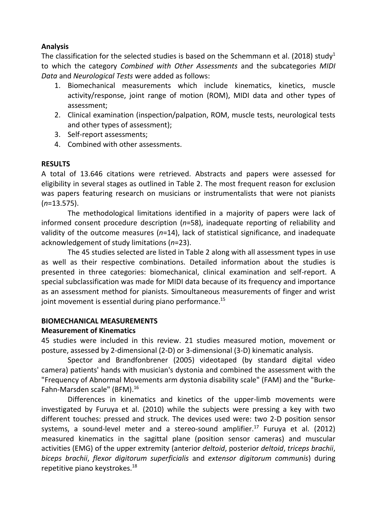### **Analysis**

The classification for the selected studies is based on the Schemmann et al. (2018) study<sup>1</sup> to which the category *Combined with Other Assessments* and the subcategories *MIDI Data* and *Neurological Tests* were added as follows:

- 1. Biomechanical measurements which include kinematics, kinetics, muscle activity/response, joint range of motion (ROM), MIDI data and other types of assessment;
- 2. Clinical examination (inspection/palpation, ROM, muscle tests, neurological tests and other types of assessment);
- 3. Self-report assessments;
- 4. Combined with other assessments.

## **RESULTS**

A total of 13.646 citations were retrieved. Abstracts and papers were assessed for eligibility in several stages as outlined in Table 2. The most frequent reason for exclusion was papers featuring research on musicians or instrumentalists that were not pianists (*n*=13.575).

The methodological limitations identified in a majority of papers were lack of informed consent procedure description (*n*=58), inadequate reporting of reliability and validity of the outcome measures (*n*=14), lack of statistical significance, and inadequate acknowledgement of study limitations (*n*=23).

The 45 studies selected are listed in Table 2 along with all assessment types in use as well as their respective combinations. Detailed information about the studies is presented in three categories: biomechanical, clinical examination and self-report. A special subclassification was made for MIDI data because of its frequency and importance as an assessment method for pianists. Simoultaneous measurements of finger and wrist joint movement is essential during piano performance.<sup>15</sup>

## **BIOMECHANICAL MEASUREMENTS**

## **Measurement of Kinematics**

45 studies were included in this review. 21 studies measured motion, movement or posture, assessed by 2-dimensional (2-D) or 3-dimensional (3-D) kinematic analysis.

Spector and Brandfonbrener (2005) videotaped (by standard digital video camera) patients' hands with musician's dystonia and combined the assessment with the "Frequency of Abnormal Movements arm dystonia disability scale" (FAM) and the "Burke-Fahn-Marsden scale" (BFM). 16

Differences in kinematics and kinetics of the upper-limb movements were investigated by Furuya et al. (2010) while the subjects were pressing a key with two different touches: pressed and struck. The devices used were: two 2-D position sensor systems, a sound-level meter and a stereo-sound amplifier. <sup>17</sup> Furuya et al. (2012) measured kinematics in the sagittal plane (position sensor cameras) and muscular activities (EMG) of the upper extremity (anterior *deltoid*, posterior *deltoid*, *triceps brachii*, *biceps brachii*, *flexor digitorum superficialis* and *extensor digitorum communis*) during repetitive piano keystrokes.<sup>18</sup>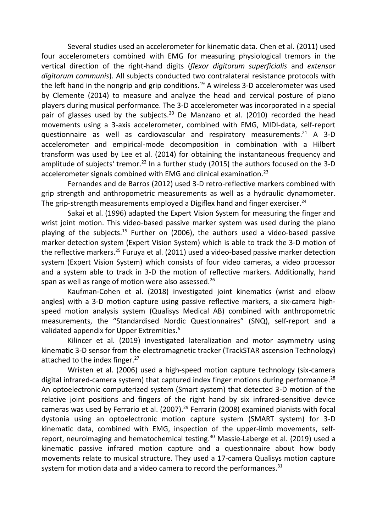Several studies used an accelerometer for kinematic data. Chen et al. (2011) used four accelerometers combined with EMG for measuring physiological tremors in the vertical direction of the right-hand digits (*flexor digitorum superficialis* and *extensor digitorum communis*). All subjects conducted two contralateral resistance protocols with the left hand in the nongrip and grip conditions. <sup>19</sup> A wireless 3-D accelerometer was used by Clemente (2014) to measure and analyze the head and cervical posture of piano players during musical performance. The 3-D accelerometer was incorporated in a special pair of glasses used by the subjects.<sup>20</sup> De Manzano et al. (2010) recorded the head movements using a 3-axis accelerometer, combined with EMG, MIDI-data, self-report questionnaire as well as cardiovascular and respiratory measurements. <sup>21</sup> A 3-D accelerometer and empirical-mode decomposition in combination with a Hilbert transform was used by Lee et al. (2014) for obtaining the instantaneous frequency and amplitude of subjects' tremor.<sup>22</sup> In a further study (2015) the authors focused on the 3-D accelerometer signals combined with EMG and clinical examination.<sup>23</sup>

Fernandes and de Barros (2012) used 3-D retro-reflective markers combined with grip strength and anthropometric measurements as well as a hydraulic dynamometer. The grip-strength measurements employed a Digiflex hand and finger exerciser.<sup>24</sup>

Sakai et al. (1996) adapted the Expert Vision System for measuring the finger and wrist joint motion. This video-based passive marker system was used during the piano playing of the subjects.<sup>15</sup> Further on (2006), the authors used a video-based passive marker detection system (Expert Vision System) which is able to track the 3-D motion of the reflective markers.<sup>25</sup> Furuya et al. (2011) used a video-based passive marker detection system (Expert Vision System) which consists of four video cameras, a video processor and a system able to track in 3-D the motion of reflective markers. Additionally, hand span as well as range of motion were also assessed. 26

Kaufman-Cohen et al. (2018) investigated joint kinematics (wrist and elbow angles) with a 3-D motion capture using passive reflective markers, a six-camera highspeed motion analysis system (Qualisys Medical AB) combined with anthropometric measurements, the "Standardised Nordic Questionnaires" (SNQ), self-report and a validated appendix for Upper Extremities.<sup>6</sup>

Kilincer et al. (2019) investigated lateralization and motor asymmetry using kinematic 3-D sensor from the electromagnetic tracker (TrackSTAR ascension Technology) attached to the index finger.<sup>27</sup>

Wristen et al. (2006) used a high-speed motion capture technology (six-camera digital infrared-camera system) that captured index finger motions during performance.<sup>28</sup> An optoelectronic computerized system (Smart system) that detected 3-D motion of the relative joint positions and fingers of the right hand by six infrared-sensitive device cameras was used by Ferrario et al. (2007). <sup>29</sup> Ferrarin (2008) examined pianists with focal dystonia using an optoelectronic motion capture system (SMART system) for 3-D kinematic data, combined with EMG, inspection of the upper-limb movements, selfreport, neuroimaging and hematochemical testing. <sup>30</sup> Massie-Laberge et al. (2019) used a kinematic passive infrared motion capture and a questionnaire about how body movements relate to musical structure. They used a 17-camera Qualisys motion capture system for motion data and a video camera to record the performances. $^{31}$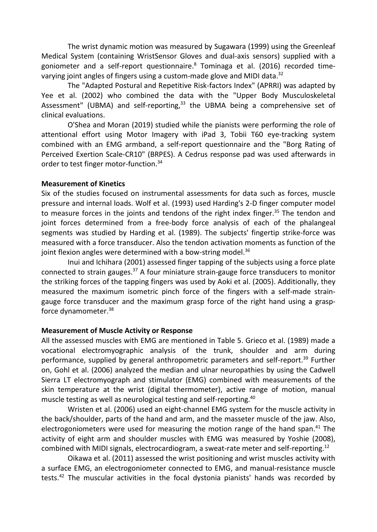The wrist dynamic motion was measured by Sugawara (1999) using the Greenleaf Medical System (containing WristSensor Gloves and dual-axis sensors) supplied with a goniometer and a self-report questionnaire. <sup>8</sup> Tominaga et al. (2016) recorded timevarying joint angles of fingers using a custom-made glove and MIDI data.<sup>32</sup>

The "Adapted Postural and Repetitive Risk-factors Index" (APRRI) was adapted by Yee et al. (2002) who combined the data with the "Upper Body Musculoskeletal Assessment" (UBMA) and self-reporting,<sup>33</sup> the UBMA being a comprehensive set of clinical evaluations.

O'Shea and Moran (2019) studied while the pianists were performing the role of attentional effort using Motor Imagery with iPad 3, Tobii T60 eye-tracking system combined with an EMG armband, a self-report questionnaire and the "Borg Rating of Perceived Exertion Scale-CR10" (BRPES). A Cedrus response pad was used afterwards in order to test finger motor-function. 34

#### **Measurement of Kinetics**

Six of the studies focused on instrumental assessments for data such as forces, muscle pressure and internal loads. Wolf et al. (1993) used Harding's 2-D finger computer model to measure forces in the joints and tendons of the right index finger.<sup>35</sup> The tendon and joint forces determined from a free-body force analysis of each of the phalangeal segments was studied by Harding et al. (1989). The subjects' fingertip strike-force was measured with a force transducer. Also the tendon activation moments as function of the joint flexion angles were determined with a bow-string model.<sup>36</sup>

Inui and Ichihara (2001) assessed finger tapping of the subjects using a force plate connected to strain gauges.<sup>37</sup> A four miniature strain-gauge force transducers to monitor the striking forces of the tapping fingers was used by Aoki et al. (2005). Additionally, they measured the maximum isometric pinch force of the fingers with a self-made straingauge force transducer and the maximum grasp force of the right hand using a graspforce dynamometer. 38

#### **Measurement of Muscle Activity or Response**

All the assessed muscles with EMG are mentioned in Table 5. Grieco et al. (1989) made a vocational electromyographic analysis of the trunk, shoulder and arm during performance, supplied by general anthropometric parameters and self-report.<sup>39</sup> Further on, Gohl et al. (2006) analyzed the median and ulnar neuropathies by using the Cadwell Sierra LT electromyograph and stimulator (EMG) combined with measurements of the skin temperature at the wrist (digital thermometer), active range of motion, manual muscle testing as well as neurological testing and self-reporting. 40

Wristen et al. (2006) used an eight-channel EMG system for the muscle activity in the back/shoulder, parts of the hand and arm, and the masseter muscle of the jaw. Also, electrogoniometers were used for measuring the motion range of the hand span.<sup>41</sup> The activity of eight arm and shoulder muscles with EMG was measured by Yoshie (2008), combined with MIDI signals, electrocardiogram, a sweat-rate meter and self-reporting.<sup>12</sup>

Oikawa et al. (2011) assessed the wrist positioning and wrist muscles activity with a surface EMG, an electrogoniometer connected to EMG, and manual-resistance muscle tests.<sup>42</sup> The muscular activities in the focal dystonia pianists' hands was recorded by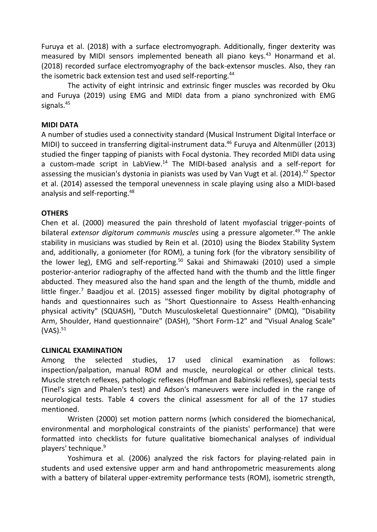Furuya et al. (2018) with a surface electromyograph. Additionally, finger dexterity was measured by MIDI sensors implemented beneath all piano keys. <sup>43</sup> Honarmand et al. (2018) recorded surface electromyography of the back-extensor muscles. Also, they ran the isometric back extension test and used self-reporting. 44

The activity of eight intrinsic and extrinsic finger muscles was recorded by Oku and Furuya (2019) using EMG and MIDI data from a piano synchronized with EMG signals. 45

#### **MIDI DATA**

A number of studies used a connectivity standard (Musical Instrument Digital Interface or MIDI) to succeed in transferring digital-instrument data. <sup>46</sup> Furuya and Altenmüller (2013) studied the finger tapping of pianists with Focal dystonia. They recorded MIDI data using a custom-made script in LabView. <sup>14</sup> The MIDI-based analysis and a self-report for assessing the musician's dystonia in pianists was used by Van Vugt et al. (2014). <sup>47</sup> Spector et al. (2014) assessed the temporal unevenness in scale playing using also a MIDI-based analysis and self-reporting.<sup>48</sup>

## **OTHERS**

Chen et al. (2000) measured the pain threshold of latent myofascial trigger-points of bilateral *extensor digitorum communis muscles* using a pressure algometer. <sup>49</sup> The ankle stability in musicians was studied by Rein et al. (2010) using the Biodex Stability System and, additionally, a goniometer (for ROM), a tuning fork (for the vibratory sensibility of the lower leg), EMG and self-reporting. <sup>50</sup> Sakai and Shimawaki (2010) used a simple posterior-anterior radiography of the affected hand with the thumb and the little finger abducted. They measured also the hand span and the length of the thumb, middle and little finger.<sup>7</sup> Baadjou et al. (2015) assessed finger mobility by digital photography of hands and questionnaires such as "Short Questionnaire to Assess Health-enhancing physical activity" (SQUASH), "Dutch Musculoskeletal Questionnaire" (DMQ), "Disability Arm, Shoulder, Hand questionnaire" (DASH), "Short Form-12" and "Visual Analog Scale" (VAS). 51

#### **CLINICAL EXAMINATION**

Among the selected studies, 17 used clinical examination as follows: inspection/palpation, manual ROM and muscle, neurological or other clinical tests. Muscle stretch reflexes, pathologic reflexes (Hoffman and Babinski reflexes), special tests (Tinel's sign and Phalen's test) and Adson's maneuvers were included in the range of neurological tests. Table 4 covers the clinical assessment for all of the 17 studies mentioned.

Wristen (2000) set motion pattern norms (which considered the biomechanical, environmental and morphological constraints of the pianists' performance) that were formatted into checklists for future qualitative biomechanical analyses of individual players' technique. 9

Yoshimura et al. (2006) analyzed the risk factors for playing-related pain in students and used extensive upper arm and hand anthropometric measurements along with a battery of bilateral upper-extremity performance tests (ROM), isometric strength,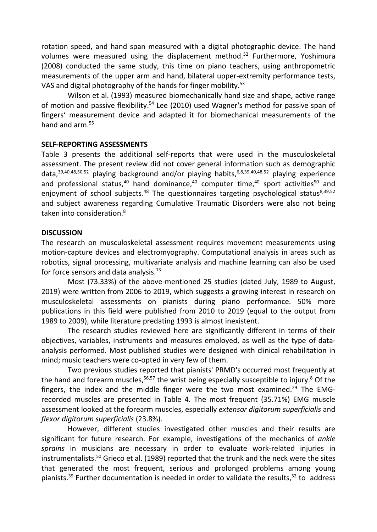rotation speed, and hand span measured with a digital photographic device. The hand volumes were measured using the displacement method.<sup>52</sup> Furthermore, Yoshimura (2008) conducted the same study, this time on piano teachers, using anthropometric measurements of the upper arm and hand, bilateral upper-extremity performance tests, VAS and digital photography of the hands for finger mobility.<sup>53</sup>

Wilson et al. (1993) measured biomechanically hand size and shape, active range of motion and passive flexibility.<sup>54</sup> Lee (2010) used Wagner's method for passive span of fingers' measurement device and adapted it for biomechanical measurements of the hand and arm.<sup>55</sup>

#### **SELF-REPORTING ASSESSMENTS**

Table 3 presents the additional self-reports that were used in the musculoskeletal assessment. The present review did not cover general information such as demographic data,<sup>39,40,48,50,52</sup> playing background and/or playing habits,<sup>6,8,39,40,48,52</sup> playing experience and professional status,<sup>40</sup> hand dominance,<sup>40</sup> computer time,<sup>40</sup> sport activities<sup>50</sup> and enjoyment of school subjects.<sup>48</sup> The questionnaires targeting psychological status<sup>8,39,52</sup> and subject awareness regarding Cumulative Traumatic Disorders were also not being taken into consideration. 8

#### **DISCUSSION**

The research on musculoskeletal assessment requires movement measurements using motion-capture devices and electromyography. Computational analysis in areas such as robotics, signal processing, multivariate analysis and machine learning can also be used for force sensors and data analysis. 13

Most (73.33%) of the above-mentioned 25 studies (dated July, 1989 to August, 2019) were written from 2006 to 2019, which suggests a growing interest in research on musculoskeletal assessments on pianists during piano performance. 50% more publications in this field were published from 2010 to 2019 (equal to the output from 1989 to 2009), while literature predating 1993 is almost inexistent.

The research studies reviewed here are significantly different in terms of their objectives, variables, instruments and measures employed, as well as the type of dataanalysis performed. Most published studies were designed with clinical rehabilitation in mind; music teachers were co-opted in very few of them.

Two previous studies reported that pianists' PRMD's occurred most frequently at the hand and forearm muscles,<sup>56,57</sup> the wrist being especially susceptible to injury.<sup>8</sup> Of the fingers, the index and the middle finger were the two most examined.<sup>29</sup> The EMGrecorded muscles are presented in Table 4. The most frequent (35.71%) EMG muscle assessment looked at the forearm muscles, especially *extensor digitorum superficialis* and *flexor digitorum superficialis* (23.8%).

However, different studies investigated other muscles and their results are significant for future research. For example, investigations of the mechanics of *ankle sprains* in musicians are necessary in order to evaluate work-related injuries in instrumentalists.<sup>50</sup> Grieco et al. (1989) reported that the trunk and the neck were the sites that generated the most frequent, serious and prolonged problems among young pianists.<sup>39</sup> Further documentation is needed in order to validate the results,<sup>52</sup> to address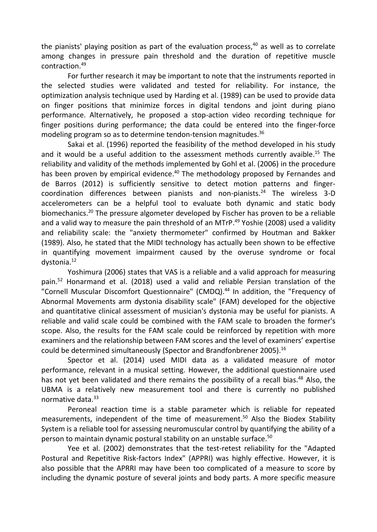the pianists' playing position as part of the evaluation process, <sup>40</sup> as well as to correlate among changes in pressure pain threshold and the duration of repetitive muscle contraction. 49

For further research it may be important to note that the instruments reported in the selected studies were validated and tested for reliability. For instance, the optimization analysis technique used by Harding et al. (1989) can be used to provide data on finger positions that minimize forces in digital tendons and joint during piano performance. Alternatively, he proposed a stop-action video recording technique for finger positions during performance; the data could be entered into the finger-force modeling program so as to determine tendon-tension magnitudes. 36

Sakai et al. (1996) reported the feasibility of the method developed in his study and it would be a useful addition to the assessment methods currently avaible. <sup>15</sup> The reliability and validity of the methods implemented by Gohl et al. (2006) in the procedure has been proven by empirical evidence.<sup>40</sup> The methodology proposed by Fernandes and de Barros (2012) is sufficiently sensitive to detect motion patterns and fingercoordination differences between pianists and non-pianists. <sup>24</sup> The wireless 3-D accelerometers can be a helpful tool to evaluate both dynamic and static body biomechanics. <sup>20</sup> The pressure algometer developed by Fischer has proven to be a reliable and a valid way to measure the pain threshold of an MTrP. <sup>49</sup> Yoshie (2008) used a validity and reliability scale: the "anxiety thermometer" confirmed by Houtman and Bakker (1989). Also, he stated that the MIDI technology has actually been shown to be effective in quantifying movement impairment caused by the overuse syndrome or focal dystonia. 12

Yoshimura (2006) states that VAS is a reliable and a valid approach for measuring pain. <sup>52</sup> Honarmand et al. (2018) used a valid and reliable Persian translation of the "Cornell Muscular Discomfort Questionnaire" (CMDQ). <sup>44</sup> In addition, the "Frequency of Abnormal Movements arm dystonia disability scale" (FAM) developed for the objective and quantitative clinical assessment of musician's dystonia may be useful for pianists. A reliable and valid scale could be combined with the FAM scale to broaden the former's scope. Also, the results for the FAM scale could be reinforced by repetition with more examiners and the relationship between FAM scores and the level of examiners' expertise could be determined simultaneously (Spector and Brandfonbrener 2005). 16

Spector et al. (2014) used MIDI data as a validated measure of motor performance, relevant in a musical setting. However, the additional questionnaire used has not yet been validated and there remains the possibility of a recall bias.<sup>48</sup> Also, the UBMA is a relatively new measurement tool and there is currently no published normative data. 33

Peroneal reaction time is a stable parameter which is reliable for repeated measurements, independent of the time of measurement. <sup>50</sup> Also the Biodex Stability System is a reliable tool for assessing neuromuscular control by quantifying the ability of a person to maintain dynamic postural stability on an unstable surface. 50

Yee et al. (2002) demonstrates that the test-retest reliability for the "Adapted Postural and Repetitive Risk-factors Index" (APPRI) was highly effective. However, it is also possible that the APRRI may have been too complicated of a measure to score by including the dynamic posture of several joints and body parts. A more specific measure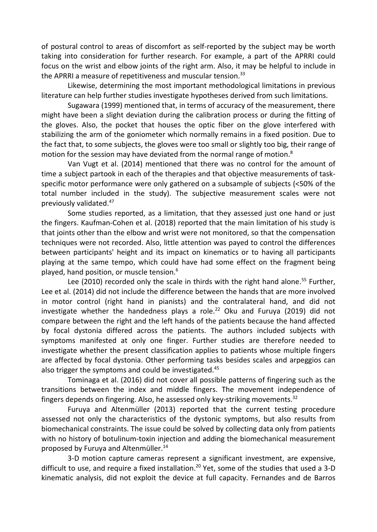of postural control to areas of discomfort as self-reported by the subject may be worth taking into consideration for further research. For example, a part of the APRRI could focus on the wrist and elbow joints of the right arm. Also, it may be helpful to include in the APRRI a measure of repetitiveness and muscular tension.<sup>33</sup>

Likewise, determining the most important methodological limitations in previous literature can help further studies investigate hypotheses derived from such limitations.

Sugawara (1999) mentioned that, in terms of accuracy of the measurement, there might have been a slight deviation during the calibration process or during the fitting of the gloves. Also, the pocket that houses the optic fiber on the glove interfered with stabilizing the arm of the goniometer which normally remains in a fixed position. Due to the fact that, to some subjects, the gloves were too small or slightly too big, their range of motion for the session may have deviated from the normal range of motion.<sup>8</sup>

Van Vugt et al. (2014) mentioned that there was no control for the amount of time a subject partook in each of the therapies and that objective measurements of taskspecific motor performance were only gathered on a subsample of subjects (<50% of the total number included in the study). The subjective measurement scales were not previously validated. 47

Some studies reported, as a limitation, that they assessed just one hand or just the fingers. Kaufman-Cohen et al. (2018) reported that the main limitation of his study is that joints other than the elbow and wrist were not monitored, so that the compensation techniques were not recorded. Also, little attention was payed to control the differences between participants' height and its impact on kinematics or to having all participants playing at the same tempo, which could have had some effect on the fragment being played, hand position, or muscle tension. 6

Lee (2010) recorded only the scale in thirds with the right hand alone. <sup>55</sup> Further, Lee et al. (2014) did not include the difference between the hands that are more involved in motor control (right hand in pianists) and the contralateral hand, and did not investigate whether the handedness plays a role. <sup>22</sup> Oku and Furuya (2019) did not compare between the right and the left hands of the patients because the hand affected by focal dystonia differed across the patients. The authors included subjects with symptoms manifested at only one finger. Further studies are therefore needed to investigate whether the present classification applies to patients whose multiple fingers are affected by focal dystonia. Other performing tasks besides scales and arpeggios can also trigger the symptoms and could be investigated.<sup>45</sup>

Tominaga et al. (2016) did not cover all possible patterns of fingering such as the transitions between the index and middle fingers. The movement independence of fingers depends on fingering. Also, he assessed only key-striking movements. 32

Furuya and Altenmüller (2013) reported that the current testing procedure assessed not only the characteristics of the dystonic symptoms, but also results from biomechanical constraints. The issue could be solved by collecting data only from patients with no history of botulinum-toxin injection and adding the biomechanical measurement proposed by Furuya and Altenmüller. 14

3-D motion capture cameras represent a significant investment, are expensive, difficult to use, and require a fixed installation.<sup>20</sup> Yet, some of the studies that used a 3-D kinematic analysis, did not exploit the device at full capacity. Fernandes and de Barros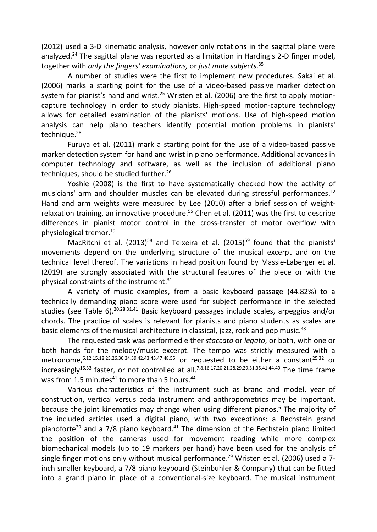(2012) used a 3-D kinematic analysis, however only rotations in the sagittal plane were analyzed.<sup>24</sup> The sagittal plane was reported as a limitation in Harding's 2-D finger model, together with *only the fingers' examinations,* or *just male subjects*. 35

A number of studies were the first to implement new procedures. Sakai et al. (2006) marks a starting point for the use of a video-based passive marker detection system for pianist's hand and wrist.<sup>25</sup> Wristen et al. (2006) are the first to apply motioncapture technology in order to study pianists. High-speed motion-capture technology allows for detailed examination of the pianists' motions. Use of high-speed motion analysis can help piano teachers identify potential motion problems in pianists' technique. 28

Furuya et al. (2011) mark a starting point for the use of a video-based passive marker detection system for hand and wrist in piano performance. Additional advances in computer technology and software, as well as the inclusion of additional piano techniques, should be studied further. 26

Yoshie (2008) is the first to have systematically checked how the activity of musicians' arm and shoulder muscles can be elevated during stressful performances. 12 Hand and arm weights were measured by Lee (2010) after a brief session of weightrelaxation training, an innovative procedure. <sup>55</sup> Chen et al. (2011) was the first to describe differences in pianist motor control in the cross-transfer of motor overflow with physiological tremor. 19

MacRitchi et al. (2013)<sup>58</sup> and Teixeira et al. (2015)<sup>59</sup> found that the pianists' movements depend on the underlying structure of the musical excerpt and on the technical level thereof. The variations in head position found by Massie-Laberger et al. (2019) are strongly associated with the structural features of the piece or with the physical constraints of the instrument. 31

A variety of music examples, from a basic keyboard passage (44.82%) to a technically demanding piano score were used for subject performance in the selected studies (see Table 6).<sup>20,28,31,41</sup> Basic keyboard passages include scales, arpeggios and/or chords. The practice of scales is relevant for pianists and piano students as scales are basic elements of the musical architecture in classical, jazz, rock and pop music.<sup>48</sup>

The requested task was performed either *staccato* or *legato*, or both, with one or both hands for the melody/music excerpt. The tempo was strictly measured with a metronome,  $6,12,15,18,25,26,30,34,39,42,43,45,47,48,55$  or requested to be either a constant<sup>25,32</sup> or increasingly<sup>16,33</sup> faster, or not controlled at all.<sup>7,8,16,17,20,21,28,29,29,31,35,41,44,49</sup> The time frame was from 1.5 minutes $^{41}$  to more than 5 hours. $^{44}$ 

Various characteristics of the instrument such as brand and model, year of construction, vertical versus coda instrument and anthropometrics may be important, because the joint kinematics may change when using different pianos. <sup>6</sup> The majority of the included articles used a digital piano, with two exceptions: a Bechstein grand pianoforte<sup>29</sup> and a 7/8 piano keyboard.<sup>41</sup> The dimension of the Bechstein piano limited the position of the cameras used for movement reading while more complex biomechanical models (up to 19 markers per hand) have been used for the analysis of single finger motions only without musical performance.<sup>29</sup> Wristen et al. (2006) used a 7inch smaller keyboard, a 7/8 piano keyboard (Steinbuhler & Company) that can be fitted into a grand piano in place of a conventional-size keyboard. The musical instrument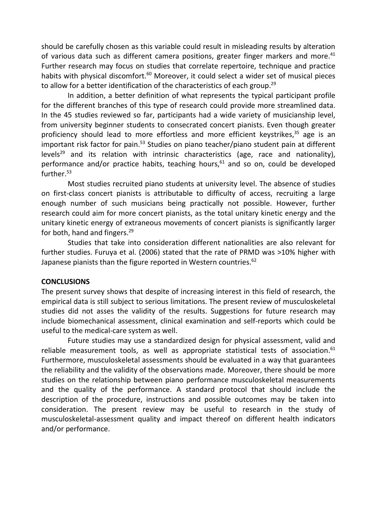should be carefully chosen as this variable could result in misleading results by alteration of various data such as different camera positions, greater finger markers and more.<sup>41</sup> Further research may focus on studies that correlate repertoire, technique and practice habits with physical discomfort.<sup>60</sup> Moreover, it could select a wider set of musical pieces to allow for a better identification of the characteristics of each group. 29

In addition, a better definition of what represents the typical participant profile for the different branches of this type of research could provide more streamlined data. In the 45 studies reviewed so far, participants had a wide variety of musicianship level, from university beginner students to consecrated concert pianists. Even though greater proficiency should lead to more effortless and more efficient keystrikes, <sup>35</sup> age is an important risk factor for pain.<sup>53</sup> Studies on piano teacher/piano student pain at different levels<sup>29</sup> and its relation with intrinsic characteristics (age, race and nationality), performance and/or practice habits, teaching hours, <sup>61</sup> and so on, could be developed further. 53

Most studies recruited piano students at university level. The absence of studies on first-class concert pianists is attributable to difficulty of access, recruiting a large enough number of such musicians being practically not possible. However, further research could aim for more concert pianists, as the total unitary kinetic energy and the unitary kinetic energy of extraneous movements of concert pianists is significantly larger for both, hand and fingers.<sup>29</sup>

Studies that take into consideration different nationalities are also relevant for further studies. Furuya et al. (2006) stated that the rate of PRMD was >10% higher with Japanese pianists than the figure reported in Western countries.<sup>62</sup>

#### **CONCLUSIONS**

The present survey shows that despite of increasing interest in this field of research, the empirical data is still subject to serious limitations. The present review of musculoskeletal studies did not asses the validity of the results. Suggestions for future research may include biomechanical assessment, clinical examination and self-reports which could be useful to the medical-care system as well.

Future studies may use a standardized design for physical assessment, valid and reliable measurement tools, as well as appropriate statistical tests of association.<sup>61</sup> Furthermore, musculoskeletal assessments should be evaluated in a way that guarantees the reliability and the validity of the observations made. Moreover, there should be more studies on the relationship between piano performance musculoskeletal measurements and the quality of the performance. A standard protocol that should include the description of the procedure, instructions and possible outcomes may be taken into consideration. The present review may be useful to research in the study of musculoskeletal-assessment quality and impact thereof on different health indicators and/or performance.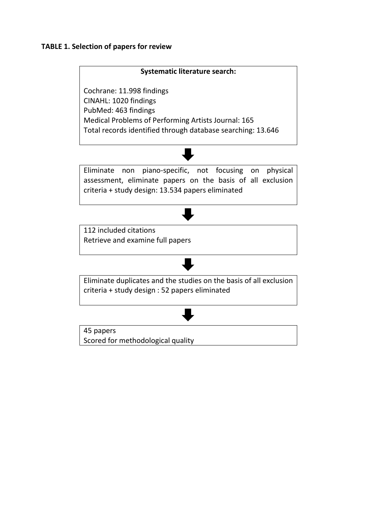#### **TABLE 1. Selection of papers for review**

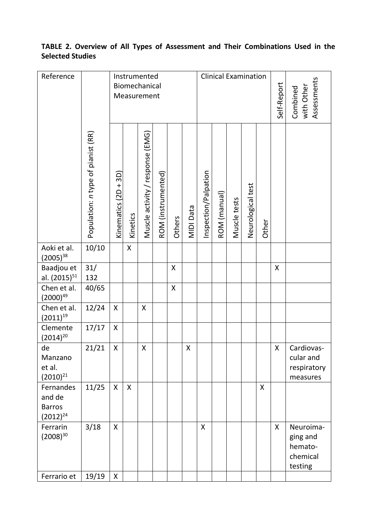# **TABLE 2. Overview of All Types of Assessment and Their Combinations Used in the Selected Studies**

| Reference                                             |                                    |                      |          | Instrumented<br>Biomechanical<br>Measurement |                    |        |           |                      |              | <b>Clinical Examination</b> |                   |       | Self-Report | Assessments<br>with Other<br>Combined                   |
|-------------------------------------------------------|------------------------------------|----------------------|----------|----------------------------------------------|--------------------|--------|-----------|----------------------|--------------|-----------------------------|-------------------|-------|-------------|---------------------------------------------------------|
|                                                       | Population: n type of pianist (RR) | Kinematics (2D + 3D) | Kinetics | Muscle activity / response (EMG)             | ROM (instrumented) | Others | MIDI Data | Inspection/Palpation | ROM (manual) | Muscle tests                | Neurological test | Other |             |                                                         |
| Aoki et al.<br>$(2005)^{38}$                          | 10/10                              |                      | X        |                                              |                    |        |           |                      |              |                             |                   |       |             |                                                         |
| Baadjou et<br>al. (2015) <sup>51</sup>                | 31/<br>132                         |                      |          |                                              |                    | X      |           |                      |              |                             |                   |       | X           |                                                         |
| Chen et al.<br>$(2000)^{49}$                          | 40/65                              |                      |          |                                              |                    | Χ      |           |                      |              |                             |                   |       |             |                                                         |
| Chen et al.<br>$(2011)^{19}$                          | 12/24                              | X                    |          | Χ                                            |                    |        |           |                      |              |                             |                   |       |             |                                                         |
| Clemente<br>$(2014)^{20}$                             | 17/17                              | X                    |          |                                              |                    |        |           |                      |              |                             |                   |       |             |                                                         |
| de<br>Manzano<br>et al.<br>$(2010)^{21}$              | 21/21                              | X                    |          | X                                            |                    |        | Χ         |                      |              |                             |                   |       | X           | Cardiovas-<br>cular and<br>respiratory<br>measures      |
| Fernandes<br>and de<br><b>Barros</b><br>$(2012)^{24}$ | 11/25                              | X                    | Χ        |                                              |                    |        |           |                      |              |                             |                   | Χ     |             |                                                         |
| Ferrarin<br>$(2008)^{30}$                             | 3/18                               | X                    |          |                                              |                    |        |           | Χ                    |              |                             |                   |       | X           | Neuroima-<br>ging and<br>hemato-<br>chemical<br>testing |
| Ferrario et                                           | 19/19                              | X                    |          |                                              |                    |        |           |                      |              |                             |                   |       |             |                                                         |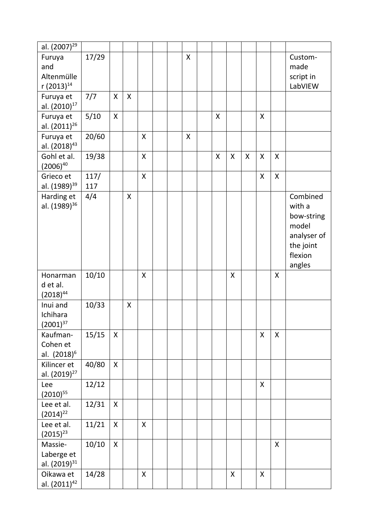| al. (2007) <sup>29</sup> |       |   |              |   |  |   |                           |   |   |   |              |             |
|--------------------------|-------|---|--------------|---|--|---|---------------------------|---|---|---|--------------|-------------|
| Furuya                   | 17/29 |   |              |   |  | X |                           |   |   |   |              | Custom-     |
| and                      |       |   |              |   |  |   |                           |   |   |   |              | made        |
| Altenmülle               |       |   |              |   |  |   |                           |   |   |   |              | script in   |
| r (2013) <sup>14</sup>   |       |   |              |   |  |   |                           |   |   |   |              | LabVIEW     |
| Furuya et                | 7/7   | X | $\mathsf{x}$ |   |  |   |                           |   |   |   |              |             |
| al. (2010) <sup>17</sup> |       |   |              |   |  |   |                           |   |   |   |              |             |
| Furuya et                | 5/10  | X |              |   |  |   | $\boldsymbol{\mathsf{X}}$ |   |   | X |              |             |
| al. $(2011)^{26}$        |       |   |              |   |  |   |                           |   |   |   |              |             |
| Furuya et                | 20/60 |   |              | X |  | Χ |                           |   |   |   |              |             |
| al. (2018) <sup>43</sup> |       |   |              |   |  |   |                           |   |   |   |              |             |
| Gohl et al.              | 19/38 |   |              | X |  |   | X                         | X | X | X | X            |             |
| $(2006)^{40}$            |       |   |              |   |  |   |                           |   |   |   |              |             |
| Grieco et                | 117/  |   |              | X |  |   |                           |   |   | X | $\mathsf{x}$ |             |
| al. (1989) <sup>39</sup> | 117   |   |              |   |  |   |                           |   |   |   |              |             |
| Harding et               | 4/4   |   | X            |   |  |   |                           |   |   |   |              | Combined    |
| al. (1989) <sup>36</sup> |       |   |              |   |  |   |                           |   |   |   |              | with a      |
|                          |       |   |              |   |  |   |                           |   |   |   |              | bow-string  |
|                          |       |   |              |   |  |   |                           |   |   |   |              | model       |
|                          |       |   |              |   |  |   |                           |   |   |   |              | analyser of |
|                          |       |   |              |   |  |   |                           |   |   |   |              | the joint   |
|                          |       |   |              |   |  |   |                           |   |   |   |              | flexion     |
|                          |       |   |              |   |  |   |                           |   |   |   |              | angles      |
| Honarman                 | 10/10 |   |              | X |  |   |                           | X |   |   | X            |             |
| d et al.                 |       |   |              |   |  |   |                           |   |   |   |              |             |
| $(2018)^{44}$            |       |   |              |   |  |   |                           |   |   |   |              |             |
| Inui and                 | 10/33 |   | X            |   |  |   |                           |   |   |   |              |             |
| Ichihara                 |       |   |              |   |  |   |                           |   |   |   |              |             |
| $(2001)^{37}$            |       |   |              |   |  |   |                           |   |   |   |              |             |
| Kaufman-                 | 15/15 | X |              |   |  |   |                           |   |   | X | $\mathsf{x}$ |             |
| Cohen et                 |       |   |              |   |  |   |                           |   |   |   |              |             |
| al. (2018) <sup>6</sup>  |       |   |              |   |  |   |                           |   |   |   |              |             |
| Kilincer et              | 40/80 | Χ |              |   |  |   |                           |   |   |   |              |             |
| al. (2019) <sup>27</sup> |       |   |              |   |  |   |                           |   |   |   |              |             |
| Lee                      | 12/12 |   |              |   |  |   |                           |   |   | X |              |             |
| $(2010)^{55}$            |       |   |              |   |  |   |                           |   |   |   |              |             |
| Lee et al.               | 12/31 | X |              |   |  |   |                           |   |   |   |              |             |
| $(2014)^{22}$            |       |   |              |   |  |   |                           |   |   |   |              |             |
| Lee et al.               | 11/21 | X |              | X |  |   |                           |   |   |   |              |             |
| $(2015)^{23}$            |       |   |              |   |  |   |                           |   |   |   |              |             |
| Massie-                  | 10/10 | X |              |   |  |   |                           |   |   |   | X            |             |
| Laberge et               |       |   |              |   |  |   |                           |   |   |   |              |             |
| al. (2019) <sup>31</sup> |       |   |              |   |  |   |                           |   |   |   |              |             |
| Oikawa et                | 14/28 |   |              | Χ |  |   |                           | Χ |   | X |              |             |
| al. (2011) <sup>42</sup> |       |   |              |   |  |   |                           |   |   |   |              |             |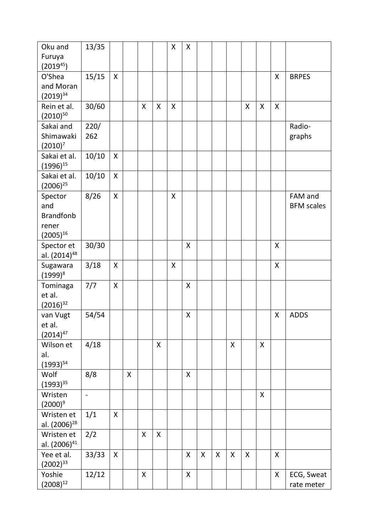| Oku and                              | 13/35          |   |   |              |   | Χ | Χ |                    |   |   |   |   |   |                   |
|--------------------------------------|----------------|---|---|--------------|---|---|---|--------------------|---|---|---|---|---|-------------------|
| Furuya                               |                |   |   |              |   |   |   |                    |   |   |   |   |   |                   |
| $(2019^{45})$                        |                |   |   |              |   |   |   |                    |   |   |   |   |   |                   |
| O'Shea                               | 15/15          | X |   |              |   |   |   |                    |   |   |   |   | X | <b>BRPES</b>      |
| and Moran                            |                |   |   |              |   |   |   |                    |   |   |   |   |   |                   |
| $(2019)^{34}$                        |                |   |   |              |   |   |   |                    |   |   |   |   |   |                   |
| Rein et al.                          | 30/60          |   |   | $\mathsf{x}$ | X | Χ |   |                    |   |   | X | Χ | X |                   |
| $(2010)^{50}$                        |                |   |   |              |   |   |   |                    |   |   |   |   |   |                   |
| Sakai and                            | 220/<br>262    |   |   |              |   |   |   |                    |   |   |   |   |   | Radio-            |
| Shimawaki<br>$(2010)^7$              |                |   |   |              |   |   |   |                    |   |   |   |   |   | graphs            |
| Sakai et al.                         | 10/10          | X |   |              |   |   |   |                    |   |   |   |   |   |                   |
| $(1996)^{15}$                        |                |   |   |              |   |   |   |                    |   |   |   |   |   |                   |
| Sakai et al.                         | 10/10          | X |   |              |   |   |   |                    |   |   |   |   |   |                   |
| $(2006)^{25}$                        |                |   |   |              |   |   |   |                    |   |   |   |   |   |                   |
| Spector                              | 8/26           | X |   |              |   | Χ |   |                    |   |   |   |   |   | FAM and           |
| and                                  |                |   |   |              |   |   |   |                    |   |   |   |   |   | <b>BFM</b> scales |
| <b>Brandfonb</b>                     |                |   |   |              |   |   |   |                    |   |   |   |   |   |                   |
| rener                                |                |   |   |              |   |   |   |                    |   |   |   |   |   |                   |
| $(2005)^{16}$                        |                |   |   |              |   |   |   |                    |   |   |   |   |   |                   |
| Spector et                           | 30/30          |   |   |              |   |   | X |                    |   |   |   |   | X |                   |
| al. (2014) <sup>48</sup><br>Sugawara | 3/18           | X |   |              |   | Χ |   |                    |   |   |   |   | X |                   |
| $(1999)^{8}$                         |                |   |   |              |   |   |   |                    |   |   |   |   |   |                   |
| Tominaga                             | 7/7            | X |   |              |   |   | Χ |                    |   |   |   |   |   |                   |
| et al.                               |                |   |   |              |   |   |   |                    |   |   |   |   |   |                   |
| $(2016)^{32}$                        |                |   |   |              |   |   |   |                    |   |   |   |   |   |                   |
| van Vugt                             | 54/54          |   |   |              |   |   | X |                    |   |   |   |   | X | <b>ADDS</b>       |
| et al.                               |                |   |   |              |   |   |   |                    |   |   |   |   |   |                   |
| $(2014)^{47}$                        |                |   |   |              |   |   |   |                    |   |   |   |   |   |                   |
| Wilson et                            | 4/18           |   |   |              | X |   |   |                    |   | X |   | X |   |                   |
| al.                                  |                |   |   |              |   |   |   |                    |   |   |   |   |   |                   |
| $(1993)^{54}$                        |                |   |   |              |   |   |   |                    |   |   |   |   |   |                   |
| Wolf                                 | 8/8            |   | Χ |              |   |   | Χ |                    |   |   |   |   |   |                   |
| $(1993)^{35}$                        |                |   |   |              |   |   |   |                    |   |   |   |   |   |                   |
| Wristen<br>$(2000)^9$                | $\overline{a}$ |   |   |              |   |   |   |                    |   |   |   | Χ |   |                   |
| Wristen et                           | 1/1            | X |   |              |   |   |   |                    |   |   |   |   |   |                   |
| al. (2006) <sup>28</sup>             |                |   |   |              |   |   |   |                    |   |   |   |   |   |                   |
| Wristen et                           | 2/2            |   |   | Χ            | X |   |   |                    |   |   |   |   |   |                   |
| al. (2006) <sup>41</sup>             |                |   |   |              |   |   |   |                    |   |   |   |   |   |                   |
| Yee et al.                           | 33/33          | X |   |              |   |   | X | $\pmb{\mathsf{X}}$ | X | X | X |   | X |                   |
| $(2002)^{33}$                        |                |   |   |              |   |   |   |                    |   |   |   |   |   |                   |
| Yoshie                               | 12/12          |   |   | X            |   |   | Χ |                    |   |   |   |   | X | ECG, Sweat        |
| $(2008)^{12}$                        |                |   |   |              |   |   |   |                    |   |   |   |   |   | rate meter        |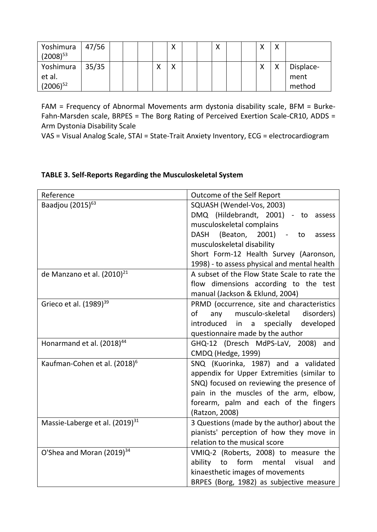| Yoshimura<br>$(2008)^{53}$ | 47/56 |  |              | Χ            |  | $\checkmark$<br>$\lambda$ |  | $\checkmark$ | $\checkmark$ |           |
|----------------------------|-------|--|--------------|--------------|--|---------------------------|--|--------------|--------------|-----------|
| Yoshimura                  | 35/35 |  | $\checkmark$ | $\checkmark$ |  |                           |  | $\checkmark$ | $\checkmark$ | Displace- |
| et al.                     |       |  |              |              |  |                           |  |              |              | ment      |
| $(2006)^{52}$              |       |  |              |              |  |                           |  |              |              | method    |

FAM = Frequency of Abnormal Movements arm dystonia disability scale, BFM = Burke-Fahn-Marsden scale, BRPES = The Borg Rating of Perceived Exertion Scale-CR10, ADDS = Arm Dystonia Disability Scale

VAS = Visual Analog Scale, STAI = State-Trait Anxiety Inventory, ECG = electrocardiogram

## **TABLE 3. Self-Reports Regarding the Musculoskeletal System**

| Reference                                  | Outcome of the Self Report                        |
|--------------------------------------------|---------------------------------------------------|
| Baadjou (2015) <sup>63</sup>               | SQUASH (Wendel-Vos, 2003)                         |
|                                            | DMQ (Hildebrandt, 2001) - to assess               |
|                                            | musculoskeletal complains                         |
|                                            | DASH (Beaton, 2001)<br>$\sim$ $-$<br>to<br>assess |
|                                            | musculoskeletal disability                        |
|                                            | Short Form-12 Health Survey (Aaronson,            |
|                                            | 1998) - to assess physical and mental health      |
| de Manzano et al. (2010) <sup>21</sup>     | A subset of the Flow State Scale to rate the      |
|                                            | flow dimensions according to the test             |
|                                            | manual (Jackson & Eklund, 2004)                   |
| Grieco et al. (1989) <sup>39</sup>         | PRMD (occurrence, site and characteristics        |
|                                            | any<br>musculo-skeletal<br>disorders)<br>of       |
|                                            | introduced in a specially developed               |
|                                            | questionnaire made by the author                  |
| Honarmand et al. (2018) <sup>44</sup>      | GHQ-12 (Dresch MdPS-LaV, 2008) and                |
|                                            | CMDQ (Hedge, 1999)                                |
| Kaufman-Cohen et al. (2018) <sup>6</sup>   | SNQ (Kuorinka, 1987) and a validated              |
|                                            | appendix for Upper Extremities (similar to        |
|                                            | SNQ) focused on reviewing the presence of         |
|                                            | pain in the muscles of the arm, elbow,            |
|                                            | forearm, palm and each of the fingers             |
|                                            | (Ratzon, 2008)                                    |
| Massie-Laberge et al. (2019) <sup>31</sup> | 3 Questions (made by the author) about the        |
|                                            | pianists' perception of how they move in          |
|                                            | relation to the musical score                     |
| O'Shea and Moran (2019) <sup>34</sup>      | VMIQ-2 (Roberts, 2008) to measure the             |
|                                            | ability<br>form<br>to<br>mental<br>visual<br>and  |
|                                            | kinaesthetic images of movements                  |
|                                            | BRPES (Borg, 1982) as subjective measure          |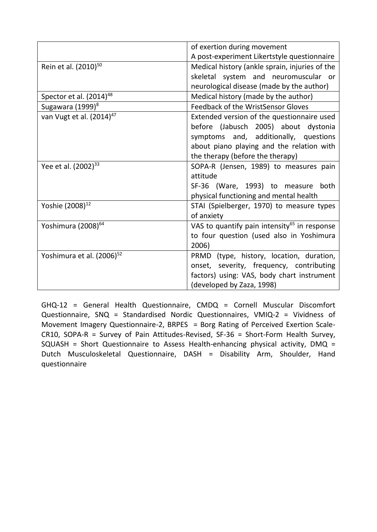|                                       | of exertion during movement                              |
|---------------------------------------|----------------------------------------------------------|
|                                       | A post-experiment Likertstyle questionnaire              |
| Rein et al. (2010) <sup>50</sup>      | Medical history (ankle sprain, injuries of the           |
|                                       | skeletal system and neuromuscular or                     |
|                                       | neurological disease (made by the author)                |
| Spector et al. (2014) <sup>48</sup>   | Medical history (made by the author)                     |
| Sugawara (1999) <sup>8</sup>          | Feedback of the WristSensor Gloves                       |
| van Vugt et al. (2014) <sup>47</sup>  | Extended version of the questionnaire used               |
|                                       | before (Jabusch 2005) about dystonia                     |
|                                       | symptoms and, additionally, questions                    |
|                                       | about piano playing and the relation with                |
|                                       | the therapy (before the therapy)                         |
| Yee et al. (2002) <sup>33</sup>       | SOPA-R (Jensen, 1989) to measures pain                   |
|                                       | attitude                                                 |
|                                       | SF-36 (Ware, 1993) to measure both                       |
|                                       | physical functioning and mental health                   |
| Yoshie (2008) <sup>12</sup>           | STAI (Spielberger, 1970) to measure types                |
|                                       | of anxiety                                               |
| Yoshimura (2008) <sup>64</sup>        | VAS to quantify pain intensity <sup>65</sup> in response |
|                                       | to four question (used also in Yoshimura                 |
|                                       | 2006)                                                    |
| Yoshimura et al. (2006) <sup>52</sup> | PRMD (type, history, location, duration,                 |
|                                       | onset, severity, frequency, contributing                 |
|                                       | factors) using: VAS, body chart instrument               |
|                                       | (developed by Zaza, 1998)                                |

GHQ-12 = General Health Questionnaire, CMDQ = Cornell Muscular Discomfort Questionnaire, SNQ = Standardised Nordic Questionnaires, VMIQ-2 = Vividness of Movement Imagery Questionnaire-2, BRPES = Borg Rating of Perceived Exertion Scale-CR10, SOPA-R = Survey of Pain Attitudes-Revised, SF-36 = Short-Form Health Survey, SQUASH = Short Questionnaire to Assess Health-enhancing physical activity, DMQ = Dutch Musculoskeletal Questionnaire, DASH = Disability Arm, Shoulder, Hand questionnaire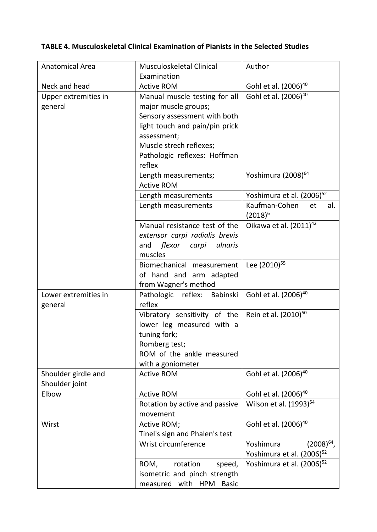# **TABLE 4. Musculoskeletal Clinical Examination of Pianists in the Selected Studies**

| Anatomical Area                       | Musculoskeletal Clinical                                                                                                                                                                          | Author                                                                |
|---------------------------------------|---------------------------------------------------------------------------------------------------------------------------------------------------------------------------------------------------|-----------------------------------------------------------------------|
|                                       | Examination                                                                                                                                                                                       |                                                                       |
| Neck and head                         | <b>Active ROM</b>                                                                                                                                                                                 | Gohl et al. (2006) <sup>40</sup>                                      |
| Upper extremities in<br>general       | Manual muscle testing for all<br>major muscle groups;<br>Sensory assessment with both<br>light touch and pain/pin prick<br>assessment;<br>Muscle strech reflexes;<br>Pathologic reflexes: Hoffman | Gohl et al. (2006) <sup>40</sup>                                      |
|                                       | reflex                                                                                                                                                                                            |                                                                       |
|                                       | Length measurements;<br><b>Active ROM</b>                                                                                                                                                         | Yoshimura (2008) <sup>64</sup>                                        |
|                                       | Length measurements                                                                                                                                                                               | Yoshimura et al. (2006) <sup>52</sup>                                 |
|                                       | Length measurements                                                                                                                                                                               | Kaufman-Cohen<br>et<br>al.<br>$(2018)^6$                              |
|                                       | Manual resistance test of the<br>extensor carpi radialis brevis<br>flexor carpi ulnaris<br>and<br>muscles                                                                                         | Oikawa et al. (2011) <sup>42</sup>                                    |
|                                       | Biomechanical measurement<br>of hand and arm adapted<br>from Wagner's method                                                                                                                      | Lee (2010) <sup>55</sup>                                              |
| Lower extremities in<br>general       | Pathologic reflex: Babinski<br>reflex                                                                                                                                                             | Gohl et al. (2006) <sup>40</sup>                                      |
|                                       | Vibratory sensitivity of the<br>lower leg measured with a<br>tuning fork;<br>Romberg test;<br>ROM of the ankle measured<br>with a goniometer                                                      | Rein et al. (2010) <sup>50</sup>                                      |
| Shoulder girdle and<br>Shoulder joint | <b>Active ROM</b>                                                                                                                                                                                 | Gohl et al. (2006) <sup>40</sup>                                      |
| Elbow                                 | <b>Active ROM</b>                                                                                                                                                                                 | Gohl et al. (2006) <sup>40</sup>                                      |
|                                       | Rotation by active and passive<br>movement                                                                                                                                                        | Wilson et al. (1993) <sup>54</sup>                                    |
| Wirst                                 | Active ROM;<br>Tinel's sign and Phalen's test                                                                                                                                                     | Gohl et al. (2006) <sup>40</sup>                                      |
|                                       | Wrist circumference                                                                                                                                                                               | Yoshimura<br>$(2008)^{64}$ ,<br>Yoshimura et al. (2006) <sup>52</sup> |
|                                       | ROM,<br>rotation<br>speed,<br>isometric and pinch strength<br>measured with<br>HPM<br><b>Basic</b>                                                                                                | Yoshimura et al. (2006) <sup>52</sup>                                 |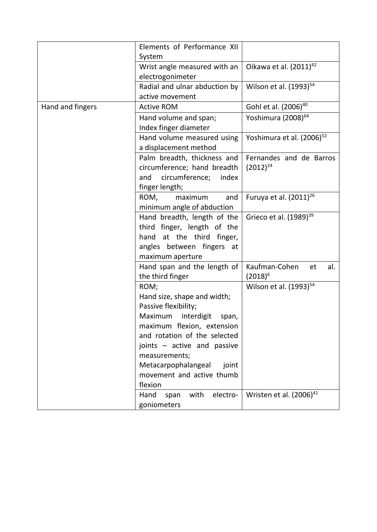|                  | Elements of Performance XII<br>System                                                                                                                                                                                                                                               |                                          |
|------------------|-------------------------------------------------------------------------------------------------------------------------------------------------------------------------------------------------------------------------------------------------------------------------------------|------------------------------------------|
|                  | Wrist angle measured with an<br>electrogonimeter                                                                                                                                                                                                                                    | Oikawa et al. (2011) <sup>42</sup>       |
|                  | Radial and ulnar abduction by<br>active movement                                                                                                                                                                                                                                    | Wilson et al. (1993) <sup>54</sup>       |
| Hand and fingers | <b>Active ROM</b>                                                                                                                                                                                                                                                                   | Gohl et al. (2006) <sup>40</sup>         |
|                  | Hand volume and span;<br>Index finger diameter                                                                                                                                                                                                                                      | Yoshimura (2008) <sup>64</sup>           |
|                  | Hand volume measured using<br>a displacement method                                                                                                                                                                                                                                 | Yoshimura et al. (2006) <sup>52</sup>    |
|                  | Palm breadth, thickness and<br>circumference; hand breadth<br>circumference;<br>and<br>index<br>finger length;                                                                                                                                                                      | Fernandes and de Barros<br>$(2012)^{24}$ |
|                  | ROM,<br>maximum<br>and<br>minimum angle of abduction                                                                                                                                                                                                                                | Furuya et al. (2011) <sup>26</sup>       |
|                  | Hand breadth, length of the<br>third finger, length of the<br>hand at the third finger,<br>angles between fingers at<br>maximum aperture                                                                                                                                            | Grieco et al. (1989) <sup>39</sup>       |
|                  | Hand span and the length of<br>the third finger                                                                                                                                                                                                                                     | Kaufman-Cohen<br>al.<br>et<br>$(2018)^6$ |
|                  | ROM;<br>Hand size, shape and width;<br>Passive flexibility;<br>interdigit<br>Maximum<br>span,<br>maximum flexion, extension<br>and rotation of the selected<br>joints - active and passive<br>measurements;<br>Metacarpophalangeal<br>joint<br>movement and active thumb<br>flexion | Wilson et al. (1993) <sup>54</sup>       |
|                  | with<br>Hand<br>electro-<br>span<br>goniometers                                                                                                                                                                                                                                     | Wristen et al. (2006) <sup>41</sup>      |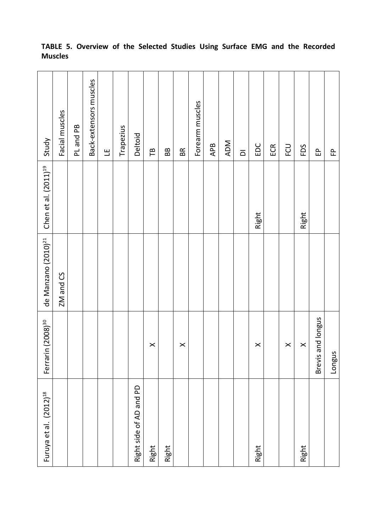| Furuya et al. (2012) <sup>18</sup> | Ferrarin (2008) <sup>30</sup> | de Manzano (2010) <sup>21</sup> | Chen et al. (2011) <sup>19</sup> | Study                   |
|------------------------------------|-------------------------------|---------------------------------|----------------------------------|-------------------------|
|                                    |                               | ZM and CS                       |                                  | Facial muscles          |
|                                    |                               |                                 |                                  | PL and PB               |
|                                    |                               |                                 |                                  | Back-extensors muscles  |
|                                    |                               |                                 |                                  | Щ                       |
|                                    |                               |                                 |                                  | Trapezius               |
| P<br>Right side of AD and          |                               |                                 |                                  | Deltoid                 |
| Right                              | $\times$                      |                                 |                                  | ΓB                      |
| Right                              |                               |                                 |                                  | BB                      |
|                                    | $\boldsymbol{\times}$         |                                 |                                  | BR                      |
|                                    |                               |                                 |                                  | Forearm muscles         |
|                                    |                               |                                 |                                  | APB                     |
|                                    |                               |                                 |                                  | ADM                     |
|                                    |                               |                                 |                                  | $\overline{\mathsf{d}}$ |
| Right                              | $\times$                      |                                 | Right                            | EDC                     |
|                                    |                               |                                 |                                  | ECR                     |
|                                    | $\times$                      |                                 |                                  | FCU                     |
| Right                              | $\pmb{\times}$                |                                 | Right                            | FDS                     |
|                                    | Brevis and longus             |                                 |                                  | 웁                       |
|                                    | Longus                        |                                 |                                  | 운                       |

## **TABLE 5. Overview of the Selected Studies Using Surface EMG and the Recorded Muscles**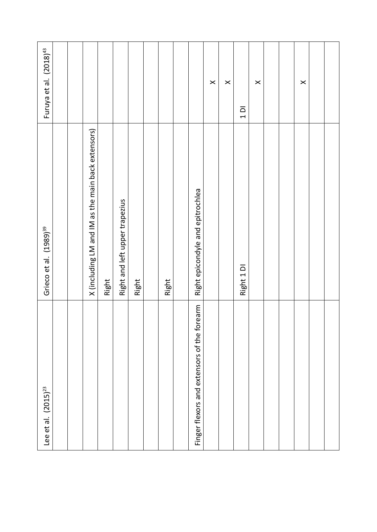| Lee et al. $(2015)^{23}$                         | Grieco et al. (1989) <sup>39</sup>                 | Furuya et al. (2018) <sup>43</sup> |
|--------------------------------------------------|----------------------------------------------------|------------------------------------|
|                                                  |                                                    |                                    |
|                                                  |                                                    |                                    |
|                                                  | X (including LM and IM as the main back extensors) |                                    |
|                                                  | Right                                              |                                    |
|                                                  | Right and left upper trapezius                     |                                    |
|                                                  | Right                                              |                                    |
|                                                  |                                                    |                                    |
|                                                  | Right                                              |                                    |
|                                                  |                                                    |                                    |
| isors of the forearm<br>Finger flexors and exter | Right epicondyle and epitrochlea                   |                                    |
|                                                  |                                                    | $\times$                           |
|                                                  |                                                    | $\pmb{\times}$                     |
|                                                  | Right 1 DI                                         | $\overline{a}$                     |
|                                                  |                                                    | $\times$                           |
|                                                  |                                                    |                                    |
|                                                  |                                                    |                                    |
|                                                  |                                                    | $\times$                           |
|                                                  |                                                    |                                    |
|                                                  |                                                    |                                    |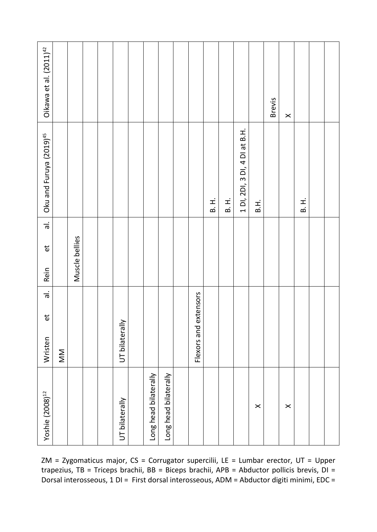| Yoshie (2008) <sup>12</sup> | $\overleftrightarrow{\mathbf{e}}$<br>Wristen | $\frac{1}{6}$ | $\frac{1}{6}$<br>$\mathbf{\tilde{e}}$<br>Rein | Oku and Furuya (2019) <sup>45</sup> | Oikawa et al. (2011) <sup>42</sup> |
|-----------------------------|----------------------------------------------|---------------|-----------------------------------------------|-------------------------------------|------------------------------------|
|                             | MN                                           |               |                                               |                                     |                                    |
|                             |                                              |               | Muscle bellies                                |                                     |                                    |
|                             |                                              |               |                                               |                                     |                                    |
|                             |                                              |               |                                               |                                     |                                    |
| UT bilaterally              | UT bilaterally                               |               |                                               |                                     |                                    |
|                             |                                              |               |                                               |                                     |                                    |
| Long head bilaterally       |                                              |               |                                               |                                     |                                    |
| Long head bilaterally       |                                              |               |                                               |                                     |                                    |
|                             |                                              |               |                                               |                                     |                                    |
|                             | Flexors and extensors                        |               |                                               |                                     |                                    |
|                             |                                              |               |                                               | $\overline{B}$ . H.                 |                                    |
|                             |                                              |               |                                               | H.<br>B.                            |                                    |
|                             |                                              |               |                                               | 1 DI, 2DI, 3 DI, 4 DI at B.H.       |                                    |
| $\pmb{\times}$              |                                              |               |                                               | B.H.                                |                                    |
|                             |                                              |               |                                               |                                     | <b>Brevis</b>                      |
| $\times$                    |                                              |               |                                               |                                     | $\times$                           |
|                             |                                              |               |                                               | H.<br>B.                            |                                    |
|                             |                                              |               |                                               |                                     |                                    |
|                             |                                              |               |                                               |                                     |                                    |

ZM = Zygomaticus major, CS = Corrugator supercilii, LE = Lumbar erector, UT = Upper trapezius, TB = Triceps brachii, BB = Biceps brachii, APB = Abductor pollicis brevis, DI = Dorsal interosseous, 1 DI = First dorsal interosseous, ADM = Abductor digiti minimi, EDC =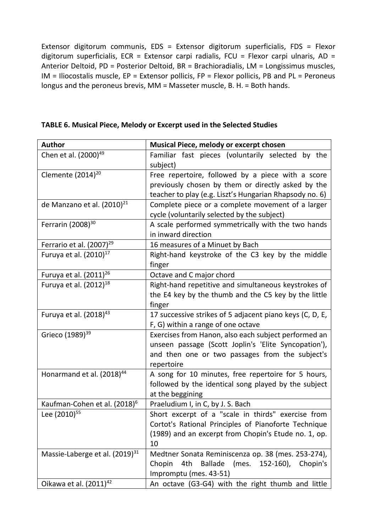Extensor digitorum communis, EDS = Extensor digitorum superficialis, FDS = Flexor digitorum superficialis, ECR = Extensor carpi radialis, FCU = Flexor carpi ulnaris, AD = Anterior Deltoid, PD = Posterior Deltoid, BR = Brachioradialis, LM = Longissimus muscles,  $IM = Iliocostalis muscle, EP = Extensor policies, FP = Flexor policies, PB and PL = Peroneus$ longus and the peroneus brevis, MM = Masseter muscle, B. H. = Both hands.

| <b>Author</b>                              | Musical Piece, melody or excerpt chosen                                                                                                                                       |
|--------------------------------------------|-------------------------------------------------------------------------------------------------------------------------------------------------------------------------------|
| Chen et al. (2000) <sup>49</sup>           | Familiar fast pieces (voluntarily selected by the<br>subject)                                                                                                                 |
| Clemente (2014) <sup>20</sup>              | Free repertoire, followed by a piece with a score<br>previously chosen by them or directly asked by the<br>teacher to play (e.g. Liszt's Hungarian Rhapsody no. 6)            |
| de Manzano et al. (2010) <sup>21</sup>     | Complete piece or a complete movement of a larger<br>cycle (voluntarily selected by the subject)                                                                              |
| Ferrarin (2008) <sup>30</sup>              | A scale performed symmetrically with the two hands<br>in inward direction                                                                                                     |
| Ferrario et al. (2007) <sup>29</sup>       | 16 measures of a Minuet by Bach                                                                                                                                               |
| Furuya et al. (2010) <sup>17</sup>         | Right-hand keystroke of the C3 key by the middle<br>finger                                                                                                                    |
| Furuya et al. (2011) <sup>26</sup>         | Octave and C major chord                                                                                                                                                      |
| Furuya et al. (2012) <sup>18</sup>         | Right-hand repetitive and simultaneous keystrokes of<br>the E4 key by the thumb and the C5 key by the little                                                                  |
|                                            | finger                                                                                                                                                                        |
| Furuya et al. (2018) <sup>43</sup>         | 17 successive strikes of 5 adjacent piano keys (C, D, E,<br>F, G) within a range of one octave                                                                                |
| Grieco (1989) <sup>39</sup>                | Exercises from Hanon, also each subject performed an<br>unseen passage (Scott Joplin's 'Elite Syncopation'),<br>and then one or two passages from the subject's<br>repertoire |
| Honarmand et al. (2018) <sup>44</sup>      | A song for 10 minutes, free repertoire for 5 hours,<br>followed by the identical song played by the subject<br>at the beggining                                               |
| Kaufman-Cohen et al. (2018) <sup>6</sup>   | Praeludium I, in C, by J. S. Bach                                                                                                                                             |
| Lee (2010) <sup>55</sup>                   | Short excerpt of a "scale in thirds" exercise from<br>Cortot's Rational Principles of Pianoforte Technique<br>(1989) and an excerpt from Chopin's Etude no. 1, op.<br>10      |
| Massie-Laberge et al. (2019) <sup>31</sup> | Medtner Sonata Reminiscenza op. 38 (mes. 253-274),<br>(mes.<br>152-160), Chopin's<br>Chopin<br>4th<br>Ballade<br>Impromptu (mes. 43-51)                                       |
| Oikawa et al. (2011) <sup>42</sup>         | An octave (G3-G4) with the right thumb and little                                                                                                                             |

| TABLE 6. Musical Piece, Melody or Excerpt used in the Selected Studies |  |  |  |
|------------------------------------------------------------------------|--|--|--|
|------------------------------------------------------------------------|--|--|--|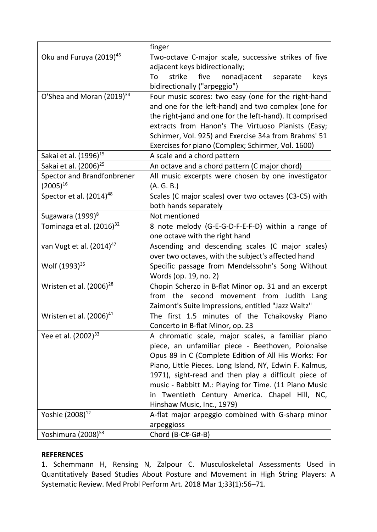|                                       | finger                                                  |  |
|---------------------------------------|---------------------------------------------------------|--|
| Oku and Furuya (2019) <sup>45</sup>   | Two-octave C-major scale, successive strikes of five    |  |
|                                       | adjacent keys bidirectionally;                          |  |
|                                       | nonadjacent<br>To<br>strike<br>five<br>separate<br>keys |  |
|                                       | bidirectionally ("arpeggio")                            |  |
| O'Shea and Moran (2019) <sup>34</sup> | Four music scores: two easy (one for the right-hand     |  |
|                                       | and one for the left-hand) and two complex (one for     |  |
|                                       | the right-jand and one for the left-hand). It comprised |  |
|                                       | extracts from Hanon's The Virtuoso Pianists (Easy;      |  |
|                                       | Schirmer, Vol. 925) and Exercise 34a from Brahms' 51    |  |
|                                       | Exercises for piano (Complex; Schirmer, Vol. 1600)      |  |
| Sakai et al. (1996) <sup>15</sup>     | A scale and a chord pattern                             |  |
| Sakai et al. (2006) <sup>25</sup>     | An octave and a chord pattern (C major chord)           |  |
| Spector and Brandfonbrener            | All music excerpts were chosen by one investigator      |  |
| $(2005)^{16}$                         | (A. G. B.)                                              |  |
| Spector et al. (2014) <sup>48</sup>   | Scales (C major scales) over two octaves (C3-C5) with   |  |
|                                       | both hands separately                                   |  |
| Sugawara (1999) <sup>8</sup>          | Not mentioned                                           |  |
| Tominaga et al. (2016) <sup>32</sup>  | 8 note melody (G-E-G-D-F-E-F-D) within a range of       |  |
|                                       | one octave with the right hand                          |  |
| van Vugt et al. (2014) <sup>47</sup>  | Ascending and descending scales (C major scales)        |  |
|                                       | over two octaves, with the subject's affected hand      |  |
| Wolf (1993) <sup>35</sup>             | Specific passage from Mendelssohn's Song Without        |  |
|                                       | Words (op. 19, no. 2)                                   |  |
| Wristen et al. $(2006)^{28}$          | Chopin Scherzo in B-flat Minor op. 31 and an excerpt    |  |
|                                       | from the second movement from Judith Lang               |  |
|                                       | Zaimont's Suite Impressions, entitled "Jazz Waltz"      |  |
| Wristen et al. (2006) <sup>41</sup>   | The first 1.5 minutes of the Tchaikovsky Piano          |  |
|                                       | Concerto in B-flat Minor, op. 23                        |  |
| Yee et al. (2002) <sup>33</sup>       | A chromatic scale, major scales, a familiar piano       |  |
|                                       | piece, an unfamiliar piece - Beethoven, Polonaise       |  |
|                                       | Opus 89 in C (Complete Edition of All His Works: For    |  |
|                                       | Piano, Little Pieces. Long Island, NY, Edwin F. Kalmus, |  |
|                                       | 1971), sight-read and then play a difficult piece of    |  |
|                                       | music - Babbitt M.: Playing for Time. (11 Piano Music   |  |
|                                       | Twentieth Century America. Chapel Hill, NC,<br>in.      |  |
|                                       | Hinshaw Music, Inc., 1979)                              |  |
| Yoshie (2008) <sup>12</sup>           | A-flat major arpeggio combined with G-sharp minor       |  |
|                                       | arpeggioss                                              |  |
| Yoshimura (2008) <sup>53</sup>        | Chord (B-C#-G#-B)                                       |  |

## **REFERENCES**

1. Schemmann H, Rensing N, Zalpour C. Musculoskeletal Assessments Used in Quantitatively Based Studies About Posture and Movement in High String Players: A Systematic Review. Med Probl Perform Art. 2018 Mar 1;33(1):56–71.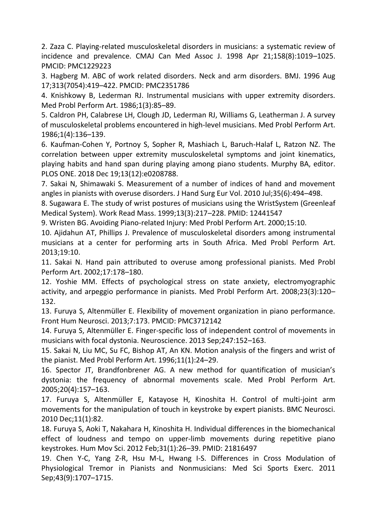2. Zaza C. Playing-related musculoskeletal disorders in musicians: a systematic review of incidence and prevalence. CMAJ Can Med Assoc J. 1998 Apr 21;158(8):1019–1025. PMCID: PMC1229223

3. Hagberg M. ABC of work related disorders. Neck and arm disorders. BMJ. 1996 Aug 17;313(7054):419–422. PMCID: PMC2351786

4. Knishkowy B, Lederman RJ. Instrumental musicians with upper extremity disorders. Med Probl Perform Art. 1986;1(3):85–89.

5. Caldron PH, Calabrese LH, Clough JD, Lederman RJ, Williams G, Leatherman J. A survey of musculoskeletal problems encountered in high-level musicians. Med Probl Perform Art. 1986;1(4):136–139.

6. Kaufman-Cohen Y, Portnoy S, Sopher R, Mashiach L, Baruch-Halaf L, Ratzon NZ. The correlation between upper extremity musculoskeletal symptoms and joint kinematics, playing habits and hand span during playing among piano students. Murphy BA, editor. PLOS ONE. 2018 Dec 19;13(12):e0208788.

7. Sakai N, Shimawaki S. Measurement of a number of indices of hand and movement angles in pianists with overuse disorders. J Hand Surg Eur Vol. 2010 Jul;35(6):494–498.

8. Sugawara E. The study of wrist postures of musicians using the WristSystem (Greenleaf Medical System). Work Read Mass. 1999;13(3):217–228. PMID: 12441547

9. Wristen BG. Avoiding Piano-related Injury: Med Probl Perform Art. 2000;15:10.

10. Ajidahun AT, Phillips J. Prevalence of musculoskeletal disorders among instrumental musicians at a center for performing arts in South Africa. Med Probl Perform Art. 2013;19:10.

11. Sakai N. Hand pain attributed to overuse among professional pianists. Med Probl Perform Art. 2002;17:178–180.

12. Yoshie MM. Effects of psychological stress on state anxiety, electromyographic activity, and arpeggio performance in pianists. Med Probl Perform Art. 2008;23(3):120– 132.

13. Furuya S, Altenmüller E. Flexibility of movement organization in piano performance. Front Hum Neurosci. 2013;7:173. PMCID: PMC3712142

14. Furuya S, Altenmüller E. Finger-specific loss of independent control of movements in musicians with focal dystonia. Neuroscience. 2013 Sep;247:152–163.

15. Sakai N, Liu MC, Su FC, Bishop AT, An KN. Motion analysis of the fingers and wrist of the pianist. Med Probl Perform Art. 1996;11(1):24–29.

16. Spector JT, Brandfonbrener AG. A new method for quantification of musician's dystonia: the frequency of abnormal movements scale. Med Probl Perform Art. 2005;20(4):157–163.

17. Furuya S, Altenmüller E, Katayose H, Kinoshita H. Control of multi-joint arm movements for the manipulation of touch in keystroke by expert pianists. BMC Neurosci. 2010 Dec;11(1):82.

18. Furuya S, Aoki T, Nakahara H, Kinoshita H. Individual differences in the biomechanical effect of loudness and tempo on upper-limb movements during repetitive piano keystrokes. Hum Mov Sci. 2012 Feb;31(1):26–39. PMID: 21816497

19. Chen Y-C, Yang Z-R, Hsu M-L, Hwang I-S. Differences in Cross Modulation of Physiological Tremor in Pianists and Nonmusicians: Med Sci Sports Exerc. 2011 Sep;43(9):1707–1715.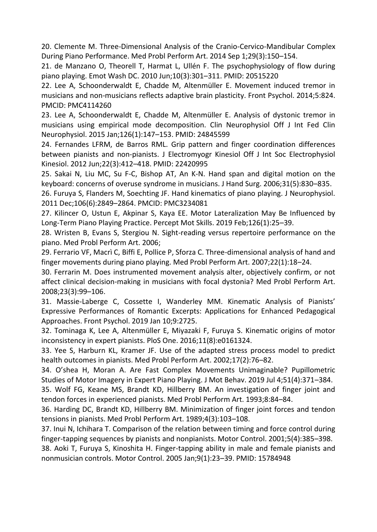20. Clemente M. Three-Dimensional Analysis of the Cranio-Cervico-Mandibular Complex During Piano Performance. Med Probl Perform Art. 2014 Sep 1;29(3):150–154.

21. de Manzano O, Theorell T, Harmat L, Ullén F. The psychophysiology of flow during piano playing. Emot Wash DC. 2010 Jun;10(3):301–311. PMID: 20515220

22. Lee A, Schoonderwaldt E, Chadde M, Altenmüller E. Movement induced tremor in musicians and non-musicians reflects adaptive brain plasticity. Front Psychol. 2014;5:824. PMCID: PMC4114260

23. Lee A, Schoonderwaldt E, Chadde M, Altenmüller E. Analysis of dystonic tremor in musicians using empirical mode decomposition. Clin Neurophysiol Off J Int Fed Clin Neurophysiol. 2015 Jan;126(1):147–153. PMID: 24845599

24. Fernandes LFRM, de Barros RML. Grip pattern and finger coordination differences between pianists and non-pianists. J Electromyogr Kinesiol Off J Int Soc Electrophysiol Kinesiol. 2012 Jun;22(3):412–418. PMID: 22420995

25. Sakai N, Liu MC, Su F-C, Bishop AT, An K-N. Hand span and digital motion on the keyboard: concerns of overuse syndrome in musicians. J Hand Surg. 2006;31(5):830–835.

26. Furuya S, Flanders M, Soechting JF. Hand kinematics of piano playing. J Neurophysiol. 2011 Dec;106(6):2849–2864. PMCID: PMC3234081

27. Kilincer O, Ustun E, Akpinar S, Kaya EE. Motor Lateralization May Be Influenced by Long-Term Piano Playing Practice. Percept Mot Skills. 2019 Feb;126(1):25–39.

28. Wristen B, Evans S, Stergiou N. Sight-reading versus repertoire performance on the piano. Med Probl Perform Art. 2006;

29. Ferrario VF, Macrì C, Biffi E, Pollice P, Sforza C. Three-dimensional analysis of hand and finger movements during piano playing. Med Probl Perform Art. 2007;22(1):18–24.

30. Ferrarin M. Does instrumented movement analysis alter, objectively confirm, or not affect clinical decision-making in musicians with focal dystonia? Med Probl Perform Art. 2008;23(3):99–106.

31. Massie-Laberge C, Cossette I, Wanderley MM. Kinematic Analysis of Pianists' Expressive Performances of Romantic Excerpts: Applications for Enhanced Pedagogical Approaches. Front Psychol. 2019 Jan 10;9:2725.

32. Tominaga K, Lee A, Altenmüller E, Miyazaki F, Furuya S. Kinematic origins of motor inconsistency in expert pianists. PloS One. 2016;11(8):e0161324.

33. Yee S, Harburn KL, Kramer JF. Use of the adapted stress process model to predict health outcomes in pianists. Med Probl Perform Art. 2002;17(2):76–82.

34. O'shea H, Moran A. Are Fast Complex Movements Unimaginable? Pupillometric Studies of Motor Imagery in Expert Piano Playing. J Mot Behav. 2019 Jul 4;51(4):371–384.

35. Wolf FG, Keane MS, Brandt KD, Hillberry BM. An investigation of finger joint and tendon forces in experienced pianists. Med Probl Perform Art. 1993;8:84–84.

36. Harding DC, Brandt KD, Hillberry BM. Minimization of finger joint forces and tendon tensions in pianists. Med Probl Perform Art. 1989;4(3):103–108.

37. Inui N, Ichihara T. Comparison of the relation between timing and force control during finger-tapping sequences by pianists and nonpianists. Motor Control. 2001;5(4):385–398.

38. Aoki T, Furuya S, Kinoshita H. Finger-tapping ability in male and female pianists and nonmusician controls. Motor Control. 2005 Jan;9(1):23–39. PMID: 15784948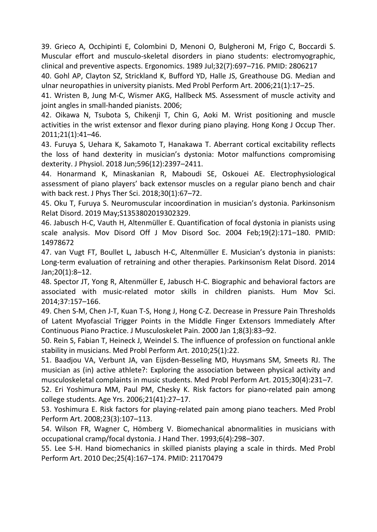39. Grieco A, Occhipinti E, Colombini D, Menoni O, Bulgheroni M, Frigo C, Boccardi S. Muscular effort and musculo-skeletal disorders in piano students: electromyographic, clinical and preventive aspects. Ergonomics. 1989 Jul;32(7):697–716. PMID: 2806217

40. Gohl AP, Clayton SZ, Strickland K, Bufford YD, Halle JS, Greathouse DG. Median and ulnar neuropathies in university pianists. Med Probl Perform Art. 2006;21(1):17–25.

41. Wristen B, Jung M-C, Wismer AKG, Hallbeck MS. Assessment of muscle activity and joint angles in small-handed pianists. 2006;

42. Oikawa N, Tsubota S, Chikenji T, Chin G, Aoki M. Wrist positioning and muscle activities in the wrist extensor and flexor during piano playing. Hong Kong J Occup Ther. 2011;21(1):41–46.

43. Furuya S, Uehara K, Sakamoto T, Hanakawa T. Aberrant cortical excitability reflects the loss of hand dexterity in musician's dystonia: Motor malfunctions compromising dexterity. J Physiol. 2018 Jun;596(12):2397–2411.

44. Honarmand K, Minaskanian R, Maboudi SE, Oskouei AE. Electrophysiological assessment of piano players' back extensor muscles on a regular piano bench and chair with back rest. J Phys Ther Sci. 2018;30(1):67–72.

45. Oku T, Furuya S. Neuromuscular incoordination in musician's dystonia. Parkinsonism Relat Disord. 2019 May;S1353802019302329.

46. Jabusch H-C, Vauth H, Altenmüller E. Quantification of focal dystonia in pianists using scale analysis. Mov Disord Off J Mov Disord Soc. 2004 Feb;19(2):171–180. PMID: 14978672

47. van Vugt FT, Boullet L, Jabusch H-C, Altenmüller E. Musician's dystonia in pianists: Long-term evaluation of retraining and other therapies. Parkinsonism Relat Disord. 2014 Jan;20(1):8–12.

48. Spector JT, Yong R, Altenmüller E, Jabusch H-C. Biographic and behavioral factors are associated with music-related motor skills in children pianists. Hum Mov Sci. 2014;37:157–166.

49. Chen S-M, Chen J-T, Kuan T-S, Hong J, Hong C-Z. Decrease in Pressure Pain Thresholds of Latent Myofascial Trigger Points in the Middle Finger Extensors Immediately After Continuous Piano Practice. J Musculoskelet Pain. 2000 Jan 1;8(3):83–92.

50. Rein S, Fabian T, Heineck J, Weindel S. The influence of profession on functional ankle stability in musicians. Med Probl Perform Art. 2010;25(1):22.

51. Baadjou VA, Verbunt JA, van Eijsden-Besseling MD, Huysmans SM, Smeets RJ. The musician as (in) active athlete?: Exploring the association between physical activity and musculoskeletal complaints in music students. Med Probl Perform Art. 2015;30(4):231–7.

52. Eri Yoshimura MM, Paul PM, Chesky K. Risk factors for piano-related pain among college students. Age Yrs. 2006;21(41):27–17.

53. Yoshimura E. Risk factors for playing-related pain among piano teachers. Med Probl Perform Art. 2008;23(3):107–113.

54. Wilson FR, Wagner C, Hömberg V. Biomechanical abnormalities in musicians with occupational cramp/focal dystonia. J Hand Ther. 1993;6(4):298–307.

55. Lee S-H. Hand biomechanics in skilled pianists playing a scale in thirds. Med Probl Perform Art. 2010 Dec;25(4):167–174. PMID: 21170479